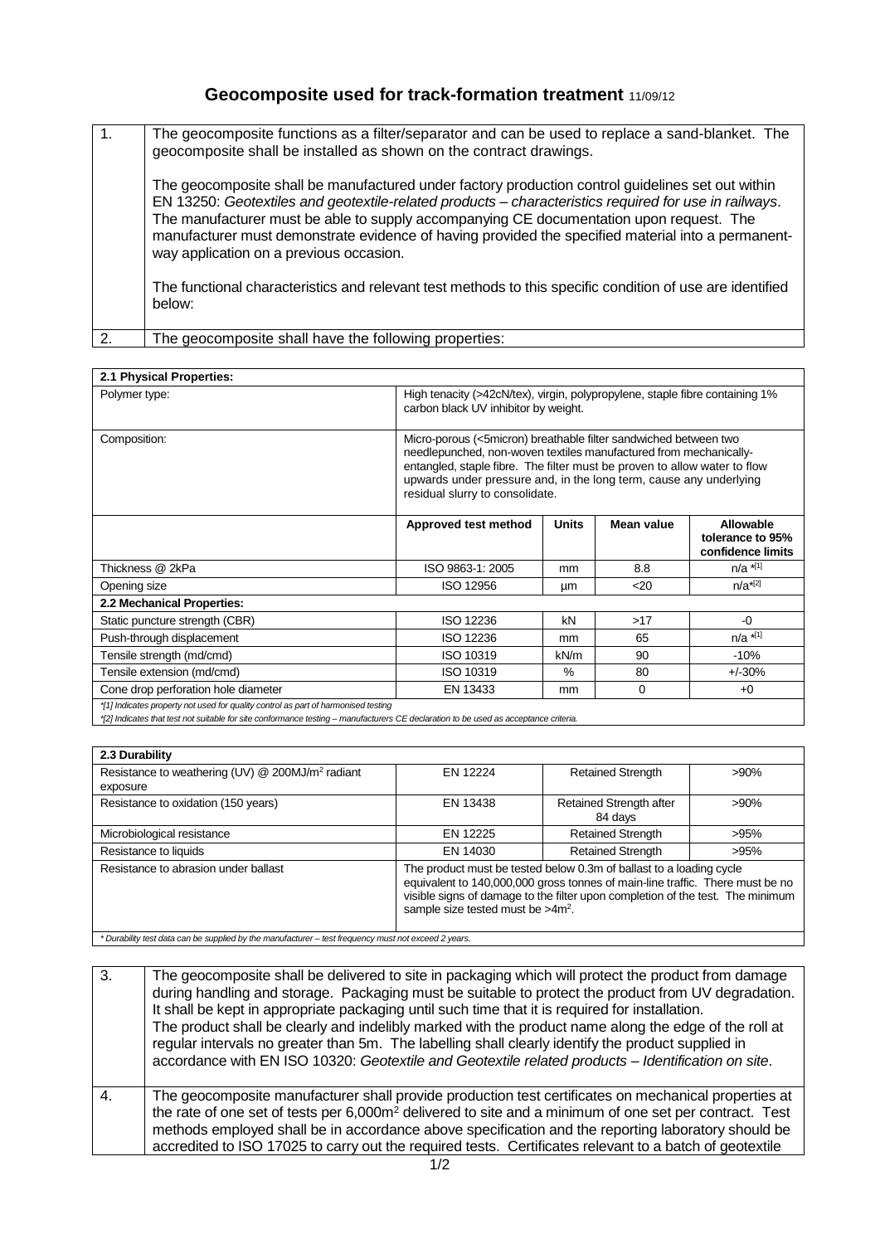## **Geocomposite used for track-formation treatment** 11/09/12

| $\mathbf{1}$ . | The geocomposite functions as a filter/separator and can be used to replace a sand-blanket. The<br>geocomposite shall be installed as shown on the contract drawings.                                                                                                                                                                                                                                                                                  |
|----------------|--------------------------------------------------------------------------------------------------------------------------------------------------------------------------------------------------------------------------------------------------------------------------------------------------------------------------------------------------------------------------------------------------------------------------------------------------------|
|                | The geocomposite shall be manufactured under factory production control guidelines set out within<br>EN 13250: Geotextiles and geotextile-related products - characteristics required for use in railways.<br>The manufacturer must be able to supply accompanying CE documentation upon request. The<br>manufacturer must demonstrate evidence of having provided the specified material into a permanent-<br>way application on a previous occasion. |
|                | The functional characteristics and relevant test methods to this specific condition of use are identified<br>below:                                                                                                                                                                                                                                                                                                                                    |
| $\mathcal{P}$  | The geocomposite shall have the following properties:                                                                                                                                                                                                                                                                                                                                                                                                  |

| 2.1 Physical Properties:                                                                                                                                                                                                   |                                                                                                                                                                                                                                                                                                                             |              |                 |                                                           |
|----------------------------------------------------------------------------------------------------------------------------------------------------------------------------------------------------------------------------|-----------------------------------------------------------------------------------------------------------------------------------------------------------------------------------------------------------------------------------------------------------------------------------------------------------------------------|--------------|-----------------|-----------------------------------------------------------|
| Polymer type:                                                                                                                                                                                                              | High tenacity (>42cN/tex), virgin, polypropylene, staple fibre containing 1%<br>carbon black UV inhibitor by weight.                                                                                                                                                                                                        |              |                 |                                                           |
| Composition:                                                                                                                                                                                                               | Micro-porous (<5micron) breathable filter sandwiched between two<br>needlepunched, non-woven textiles manufactured from mechanically-<br>entangled, staple fibre. The filter must be proven to allow water to flow<br>upwards under pressure and, in the long term, cause any underlying<br>residual slurry to consolidate. |              |                 |                                                           |
|                                                                                                                                                                                                                            | Approved test method                                                                                                                                                                                                                                                                                                        | <b>Units</b> | Mean value      | <b>Allowable</b><br>tolerance to 95%<br>confidence limits |
| Thickness @ 2kPa                                                                                                                                                                                                           | ISO 9863-1: 2005                                                                                                                                                                                                                                                                                                            | mm           | 8.8             | $n/a$ $*$ <sup>[1]</sup>                                  |
| Opening size                                                                                                                                                                                                               | ISO 12956                                                                                                                                                                                                                                                                                                                   | μm           | 20 <sub>2</sub> | $n/a^{*[2]}$                                              |
| 2.2 Mechanical Properties:                                                                                                                                                                                                 |                                                                                                                                                                                                                                                                                                                             |              |                 |                                                           |
| Static puncture strength (CBR)                                                                                                                                                                                             | ISO 12236                                                                                                                                                                                                                                                                                                                   | kN           | >17             | $-0$                                                      |
| Push-through displacement                                                                                                                                                                                                  | ISO 12236                                                                                                                                                                                                                                                                                                                   | mm           | 65              | $n/a$ *[1]                                                |
| Tensile strength (md/cmd)                                                                                                                                                                                                  | ISO 10319                                                                                                                                                                                                                                                                                                                   | kN/m         | 90              | $-10%$                                                    |
| Tensile extension (md/cmd)                                                                                                                                                                                                 | ISO 10319                                                                                                                                                                                                                                                                                                                   | $\%$         | 80              | $+/-30%$                                                  |
| Cone drop perforation hole diameter                                                                                                                                                                                        | EN 13433                                                                                                                                                                                                                                                                                                                    | mm           | 0               | $+0$                                                      |
| *[1] Indicates property not used for quality control as part of harmonised testing<br>*[2] Indicates that test not suitable for site conformance testing - manufacturers CE declaration to be used as acceptance criteria. |                                                                                                                                                                                                                                                                                                                             |              |                 |                                                           |

| 2.3 Durability                                                                                       |                                                                                                                                                                                                                                                                                |                                    |         |  |  |
|------------------------------------------------------------------------------------------------------|--------------------------------------------------------------------------------------------------------------------------------------------------------------------------------------------------------------------------------------------------------------------------------|------------------------------------|---------|--|--|
| Resistance to weathering (UV) @ 200MJ/m <sup>2</sup> radiant<br>exposure                             | EN 12224                                                                                                                                                                                                                                                                       | <b>Retained Strength</b>           | $>90\%$ |  |  |
| Resistance to oxidation (150 years)                                                                  | EN 13438                                                                                                                                                                                                                                                                       | Retained Strength after<br>84 days | >90%    |  |  |
| Microbiological resistance                                                                           | FN 12225                                                                                                                                                                                                                                                                       | <b>Retained Strength</b>           | >95%    |  |  |
| Resistance to liquids                                                                                | EN 14030                                                                                                                                                                                                                                                                       | <b>Retained Strength</b>           | >95%    |  |  |
| Resistance to abrasion under ballast                                                                 | The product must be tested below 0.3m of ballast to a loading cycle<br>equivalent to 140,000,000 gross tonnes of main-line traffic. There must be no<br>visible signs of damage to the filter upon completion of the test. The minimum<br>sample size tested must be $>4m^2$ . |                                    |         |  |  |
| * Durability test data can be supplied by the manufacturer – test frequency must not exceed 2 years. |                                                                                                                                                                                                                                                                                |                                    |         |  |  |

*\* Durability test data can be supplied by the manufacturer – test frequency must not exceed 2 years.* 

| $\overline{3}$ . | The geocomposite shall be delivered to site in packaging which will protect the product from damage<br>during handling and storage. Packaging must be suitable to protect the product from UV degradation.<br>It shall be kept in appropriate packaging until such time that it is required for installation.<br>The product shall be clearly and indelibly marked with the product name along the edge of the roll at<br>regular intervals no greater than 5m. The labelling shall clearly identify the product supplied in<br>accordance with EN ISO 10320: Geotextile and Geotextile related products - Identification on site. |
|------------------|------------------------------------------------------------------------------------------------------------------------------------------------------------------------------------------------------------------------------------------------------------------------------------------------------------------------------------------------------------------------------------------------------------------------------------------------------------------------------------------------------------------------------------------------------------------------------------------------------------------------------------|
| $\overline{4}$   | The geocomposite manufacturer shall provide production test certificates on mechanical properties at<br>the rate of one set of tests per 6,000m <sup>2</sup> delivered to site and a minimum of one set per contract. Test<br>methods employed shall be in accordance above specification and the reporting laboratory should be<br>accredited to ISO 17025 to carry out the required tests. Certificates relevant to a batch of geotextile                                                                                                                                                                                        |
|                  |                                                                                                                                                                                                                                                                                                                                                                                                                                                                                                                                                                                                                                    |